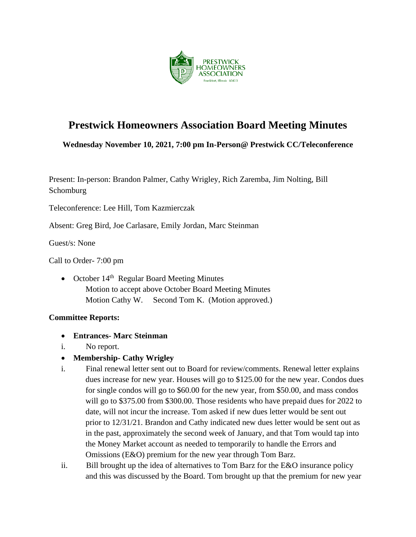

# **Prestwick Homeowners Association Board Meeting Minutes**

**Wednesday November 10, 2021, 7:00 pm In-Person@ Prestwick CC/Teleconference**

Present: In-person: Brandon Palmer, Cathy Wrigley, Rich Zaremba, Jim Nolting, Bill **Schomburg** 

Teleconference: Lee Hill, Tom Kazmierczak

Absent: Greg Bird, Joe Carlasare, Emily Jordan, Marc Steinman

Guest/s: None

Call to Order- 7:00 pm

• October  $14<sup>th</sup>$  Regular Board Meeting Minutes Motion to accept above October Board Meeting Minutes Motion Cathy W. Second Tom K. (Motion approved.)

#### **Committee Reports:**

- **Entrances- Marc Steinman**
- i. No report.
- **Membership- Cathy Wrigley**
- i. Final renewal letter sent out to Board for review/comments. Renewal letter explains dues increase for new year. Houses will go to \$125.00 for the new year. Condos dues for single condos will go to \$60.00 for the new year, from \$50.00, and mass condos will go to \$375.00 from \$300.00. Those residents who have prepaid dues for 2022 to date, will not incur the increase. Tom asked if new dues letter would be sent out prior to 12/31/21. Brandon and Cathy indicated new dues letter would be sent out as in the past, approximately the second week of January, and that Tom would tap into the Money Market account as needed to temporarily to handle the Errors and Omissions (E&O) premium for the new year through Tom Barz.
- ii. Bill brought up the idea of alternatives to Tom Barz for the E&O insurance policy and this was discussed by the Board. Tom brought up that the premium for new year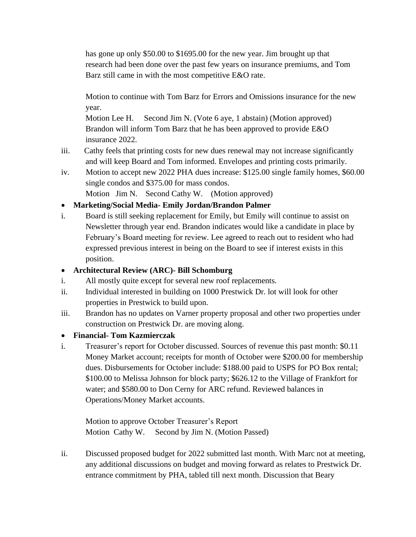has gone up only \$50.00 to \$1695.00 for the new year. Jim brought up that research had been done over the past few years on insurance premiums, and Tom Barz still came in with the most competitive E&O rate.

 Motion to continue with Tom Barz for Errors and Omissions insurance for the new year.

 Motion Lee H. Second Jim N. (Vote 6 aye, 1 abstain) (Motion approved) Brandon will inform Tom Barz that he has been approved to provide E&O insurance 2022.

- iii. Cathy feels that printing costs for new dues renewal may not increase significantly and will keep Board and Tom informed. Envelopes and printing costs primarily.
- iv. Motion to accept new 2022 PHA dues increase: \$125.00 single family homes, \$60.00 single condos and \$375.00 for mass condos.

Motion Jim N. Second Cathy W. (Motion approved)

## • **Marketing/Social Media- Emily Jordan/Brandon Palmer**

i. Board is still seeking replacement for Emily, but Emily will continue to assist on Newsletter through year end. Brandon indicates would like a candidate in place by February's Board meeting for review. Lee agreed to reach out to resident who had expressed previous interest in being on the Board to see if interest exists in this position.

# • **Architectural Review (ARC)- Bill Schomburg**

- i. All mostly quite except for several new roof replacements.
- ii. Individual interested in building on 1000 Prestwick Dr. lot will look for other properties in Prestwick to build upon.
- iii. Brandon has no updates on Varner property proposal and other two properties under construction on Prestwick Dr. are moving along.

## • **Financial- Tom Kazmierczak**

i. Treasurer's report for October discussed. Sources of revenue this past month: \$0.11 Money Market account; receipts for month of October were \$200.00 for membership dues. Disbursements for October include: \$188.00 paid to USPS for PO Box rental; \$100.00 to Melissa Johnson for block party; \$626.12 to the Village of Frankfort for water; and \$580.00 to Don Cerny for ARC refund. Reviewed balances in Operations/Money Market accounts.

Motion to approve October Treasurer's Report Motion Cathy W. Second by Jim N. (Motion Passed)

ii. Discussed proposed budget for 2022 submitted last month. With Marc not at meeting, any additional discussions on budget and moving forward as relates to Prestwick Dr. entrance commitment by PHA, tabled till next month. Discussion that Beary